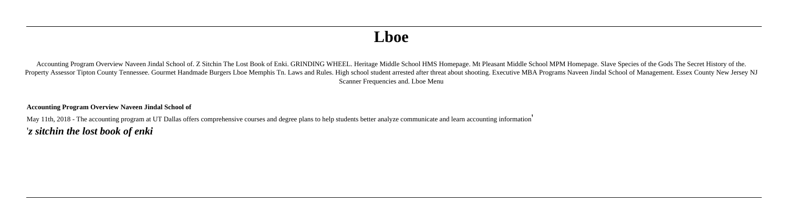# **Lboe**

Accounting Program Overview Naveen Jindal School of. Z Sitchin The Lost Book of Enki. GRINDING WHEEL. Heritage Middle School HMS Homepage. Mt Pleasant Middle School MPM Homepage. Slave Species of the Gods The Secret Histor Property Assessor Tipton County Tennessee. Gourmet Handmade Burgers Lboe Memphis Tn. Laws and Rules. High school student arrested after threat about shooting. Executive MBA Programs Naveen Jindal School of Management. Esse Scanner Frequencies and. Lboe Menu

**Accounting Program Overview Naveen Jindal School of**

May 11th, 2018 - The accounting program at UT Dallas offers comprehensive courses and degree plans to help students better analyze communicate and learn accounting information' '*z sitchin the lost book of enki*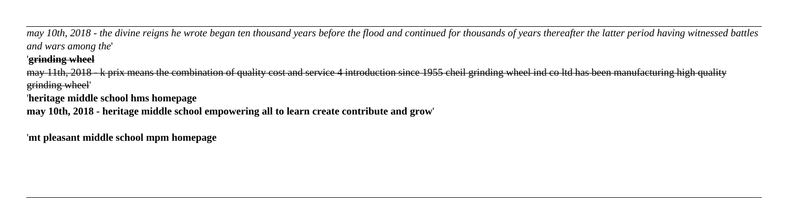*may 10th, 2018 - the divine reigns he wrote began ten thousand years before the flood and continued for thousands of years thereafter the latter period having witnessed battles and wars among the*'

## '**grinding wheel**

may 11th, 2018 - k prix means the combination of quality cost and service 4 introduction since 1955 cheil grinding wheel ind co ltd has been manufacturing high quality grinding wheel' '**heritage middle school hms homepage may 10th, 2018 - heritage middle school empowering all to learn create contribute and grow**'

'**mt pleasant middle school mpm homepage**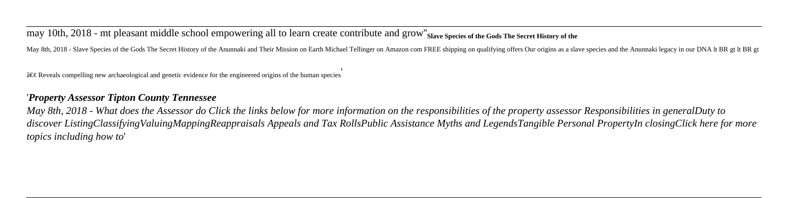may 10th, 2018 - mt pleasant middle school empowering all to learn create contribute and grow''**Slave Species of the Gods The Secret History of the**

May 8th, 2018 - Slave Species of the Gods The Secret History of the Anunnaki and Their Mission on Earth Michael Tellinger on Amazon com FREE shipping on qualifying offers Our origins as a slave species and the Anunnaki leg

 $\hat{a} \in \mathcal{C}$  Reveals compelling new archaeological and genetic evidence for the engineered origins of the human species

### '*Property Assessor Tipton County Tennessee*

*May 8th, 2018 - What does the Assessor do Click the links below for more information on the responsibilities of the property assessor Responsibilities in generalDuty to discover ListingClassifyingValuingMappingReappraisals Appeals and Tax RollsPublic Assistance Myths and LegendsTangible Personal PropertyIn closingClick here for more topics including how to*'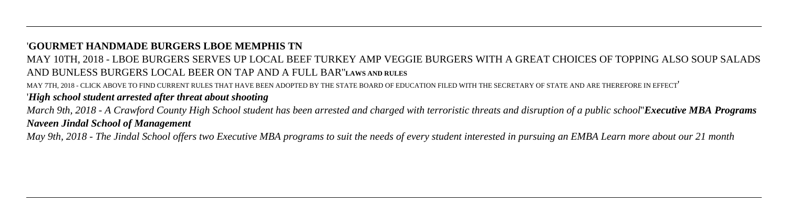#### '**GOURMET HANDMADE BURGERS LBOE MEMPHIS TN**

# MAY 10TH, 2018 - LBOE BURGERS SERVES UP LOCAL BEEF TURKEY AMP VEGGIE BURGERS WITH A GREAT CHOICES OF TOPPING ALSO SOUP SALADS AND BUNLESS BURGERS LOCAL BEER ON TAP AND A FULL BAR''**LAWS AND RULES**

MAY 7TH, 2018 - CLICK ABOVE TO FIND CURRENT RULES THAT HAVE BEEN ADOPTED BY THE STATE BOARD OF EDUCATION FILED WITH THE SECRETARY OF STATE AND ARE THEREFORE IN EFFECT'

# '*High school student arrested after threat about shooting*

*March 9th, 2018 - A Crawford County High School student has been arrested and charged with terroristic threats and disruption of a public school*''*Executive MBA Programs Naveen Jindal School of Management*

*May 9th, 2018 - The Jindal School offers two Executive MBA programs to suit the needs of every student interested in pursuing an EMBA Learn more about our 21 month*